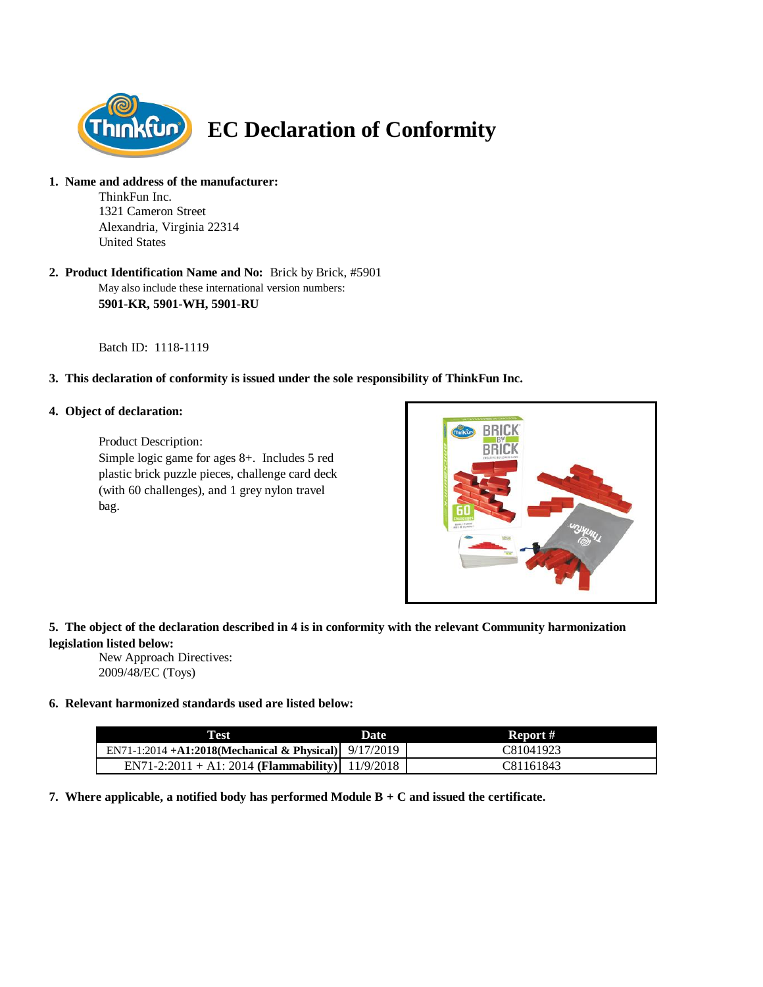

**1. Name and address of the manufacturer:**

ThinkFun Inc. 1321 Cameron Street Alexandria, Virginia 22314 United States

May also include these international version numbers: **2. Product Identification Name and No:** Brick by Brick, #5901 **5901-KR, 5901-WH, 5901-RU**

Batch ID: 1118-1119

## **3. This declaration of conformity is issued under the sole responsibility of ThinkFun Inc.**

### **4. Object of declaration:**

Product Description: Simple logic game for ages 8+. Includes 5 red plastic brick puzzle pieces, challenge card deck (with 60 challenges), and 1 grey nylon travel bag.



# **5. The object of the declaration described in 4 is in conformity with the relevant Community harmonization legislation listed below:**

New Approach Directives: 2009/48/EC (Toys)

#### **6. Relevant harmonized standards used are listed below:**

| Test                                                    | <b>Date</b> | Report #  |
|---------------------------------------------------------|-------------|-----------|
| EN71-1:2014 +A1:2018(Mechanical & Physical) $9/17/2019$ |             | C81041923 |
| EN71-2:2011 + A1: 2014 (Flammability) 11/9/2018         |             | C81161843 |

**7. Where applicable, a notified body has performed Module B + C and issued the certificate.**